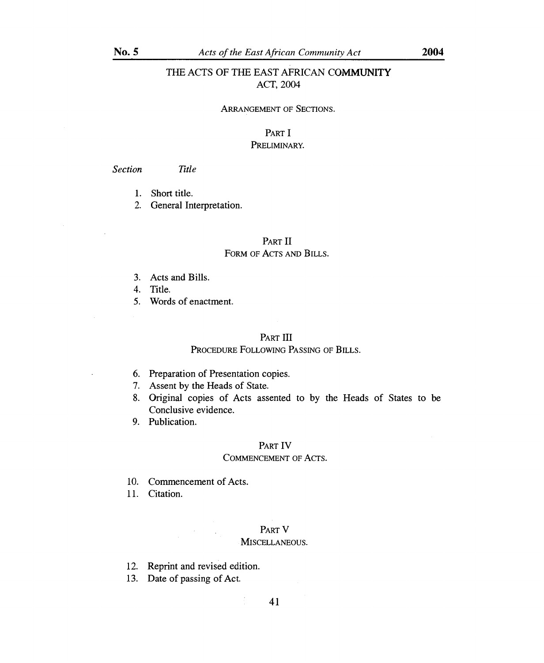# THE ACTS OF THE EAST AFRICAN COMMUNITY ACT, 2004

#### ARRANGEMENT OF SECTIONS.

# PART I PRELIMINARY.

## *Section Title*

- 1. Short title.
- 2. General Interpretation.

# PART II FORM OF ACTS AND BILLS.

- 3. Acts and Bills.
- 4. Title.
- 5. Words of enactment.

# PART III

# PROCEDURE FOLLOWING PASSING OF BILLS.

- 6. Preparation of Presentation copies.
- 7. Assent by the Heads of State.
- 8. Original copies of Acts assented to by the Heads of States to be Conclusive evidence.
- 9. Publication.

# PART IV

## COMMENCEMENT OF ACTS.

10. Commencement of Acts.

11. Citation.

## PART V

#### MISCELLANEOUS.

- 12. Reprint and revised edition.
- 13. Date of passing of Act.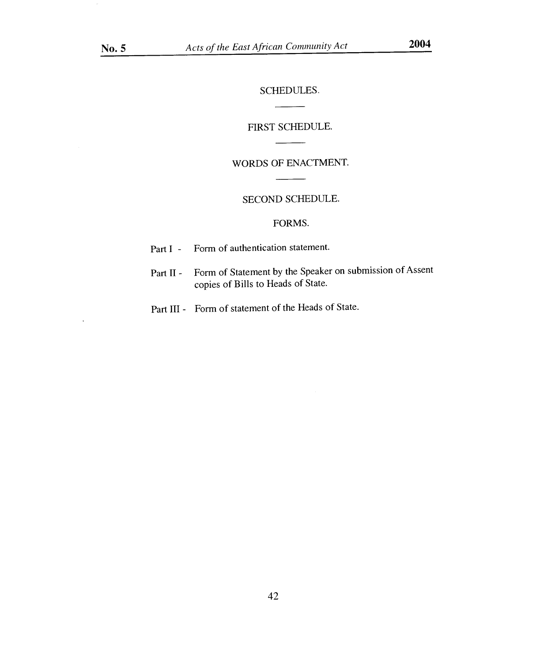$\ddot{\phantom{a}}$ 

SCHEDULES.

 $\overline{a}$ 

 $\overline{\phantom{a}}$ 

 $\overline{\phantom{a}}$ 

-

 $\overline{\phantom{0}}$ 

# FIRST SCHEDULE.

# WORDS OF ENACTMENT.

# SECOND SCHEDULE.

# FORMS.

| Part $I -$ |  | Form of authentication statement. |  |
|------------|--|-----------------------------------|--|
|------------|--|-----------------------------------|--|

- Part II Form of Statement by the Speaker on submission of Assent copies of Bills to Heads of State.
- Part III Form of statement of the Heads of State.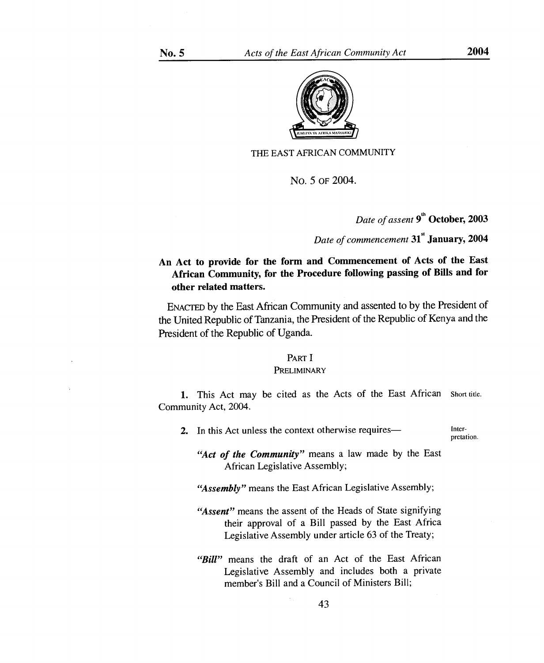

THE EAST AFRICAN COMMUNITY

No. 5 OF 2004.

*Date of assent* **9th October, 2003** 

*Date of commencement 31 <sup>5</sup>'* **January, 2004** 

# **An Act to provide for the form and Commencement of Acts of the East African Community, for the Procedure following passing of Bills and for other related matters.**

ENACTED by the East African Community and assented to by the President of the United Republic of Tanzania, the President of the Republic of Kenya and the President of the Republic of Uganda.

## PART I

#### **PRELIMINARY**

1. This Act may be cited as the Acts of the East African Short title. Community Act, 2004.

2. In this Act unless the context otherwise requires— Inter-

pretation.

*"Act of the Community"* means a law made by the East African Legislative Assembly;

*"Assembly"* means the East African Legislative Assembly;

- *"Assent"* means the assent of the Heads of State signifying their approval of a Bill passed by the East Africa Legislative Assembly under article 63 of the Treaty;
- *"Bill"* means the draft of an Act of the East African Legislative Assembly and includes both a private member's Bill and a Council of Ministers Bill;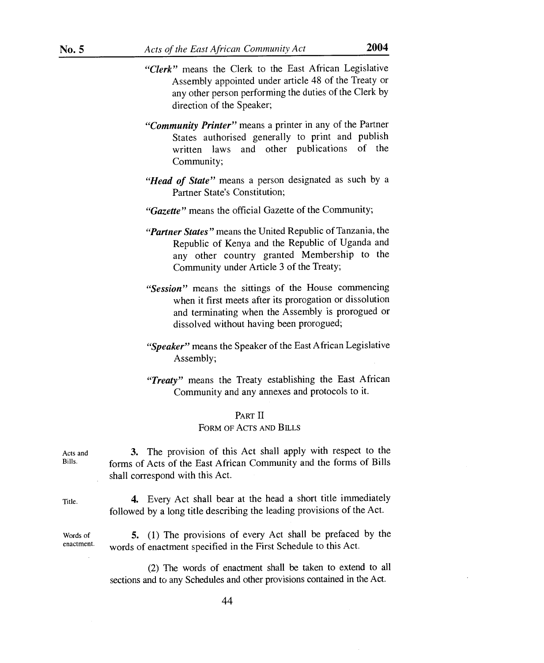- *"Clerk"* means the Clerk to the East African Legislative Assembly appointed under article 48 of the Treaty or any other person performing the duties of the Clerk by direction of the Speaker;
- *"Community Printer"* means a printer in any of the Partner States authorised generally to print and publish written laws and other publications of the Community;
- *"Head of State"* means a person designated as such by a Partner State's Constitution;
- *"Gazette"* means the official Gazette of the Community;
- *"Partner States"* means the United Republic of Tanzania, the Republic of Kenya and the Republic of Uganda and any other country granted Membership to the Community under Article 3 of the Treaty;
- *"Session"* means the sittings of the House commencing when it first meets after its prorogation or dissolution and terminating when the Assembly is prorogued or dissolved without having been prorogued;
- *"Speaker"* means the Speaker of the East African Legislative Assembly;
- *"Treaty"* means the Treaty establishing the East African Community and any annexes and protocols to it.

#### PART II

#### FORM OF ACTS AND BILLS

*3.* The provision of this Act shall apply with respect to the forms of Acts of the East African Community and the forms of Bills shall correspond with this Act.

Acts and Bills.

Title. **4.** Every Act shall bear at the head a short title immediately followed by a long title describing the leading provisions of the Act.

Words of enactment. *5.* (1) The provisions of every Act shall be prefaced by the words of enactment specified in the First Schedule to this Act.

> (2) The words of enactment shall be taken to extend to all sections and to any Schedules and other provisions contained in the Act.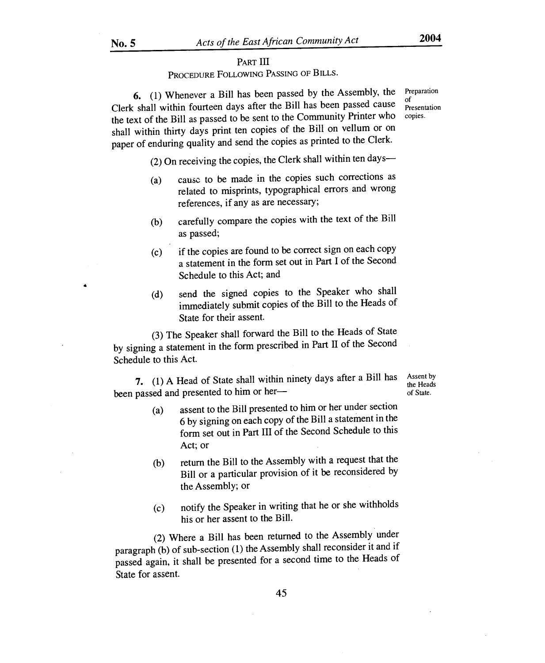#### PART **III**

PROCEDURE FOLLOWING PASSING OF BILLS.

**6.** (1) Whenever a Bill has been passed by the Assembly, the Clerk shall within fourteen days after the Bill has been passed cause the text of the Bill as passed to be sent to the Community Printer who shall within thirty days print ten copies of the Bill on vellum or on paper of enduring quality and send the copies as printed to the Clerk.

(2) On receiving the copies, the Clerk shall within ten days—

- (a) cause to be made in the copies such corrections as related to misprints, typographical errors and wrong references, if any as are necessary;
- (b) carefully compare the copies with the text of the Bill as passed;
- (c) if the copies are found to be correct sign on each copy a statement in the form set out in Part I of the Second Schedule to this Act; and
- (d) send the signed copies to the Speaker who shall immediately submit copies of the Bill to the Heads of State for their assent.

(3) The Speaker shall forward the Bill to the Heads of State by signing a statement in the form prescribed in Part II of the Second Schedule to this Act.

**7.** (1) A Head of State shall within ninety days after a Bill has been passed and presented to him or her—

Assent by the Heads of State.

- (a) assent to the Bill presented to him or her under section 6 by signing on each copy of the Bill a statement in the form set out in Part III of the Second Schedule to this Act; or
- (b) return the Bill to the Assembly with a request that the Bill or a particular provision of it be reconsidered by the Assembly; or
- (c) notify the Speaker in writing that he or she withholds his or her assent to the Bill.

(2) Where a Bill has been returned to the Assembly under paragraph (b) of sub-section (1) the Assembly shall reconsider it and if passed again, it shall be presented for a second time to the Heads of State for assent.

Preparation of Presentation copies.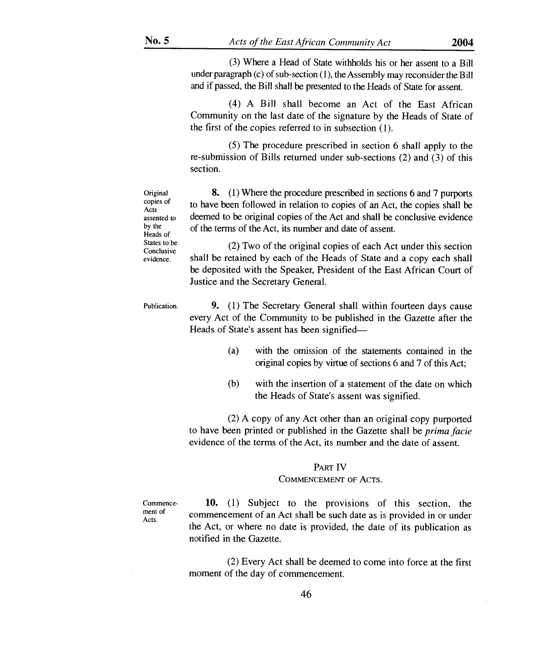(3) Where a Head of State withholds his or her assent to a Bill under paragraph (c) of sub-section (1), the Assembly may reconsider the Bill and if passed, the Bill shall be presented to the Heads of State for assent.

(4) A Bill shall become an Act of the East African Community on the last date of the signature by the Heads of State of the first of the copies referred to in subsection (1).

(5) The procedure prescribed in section 6 shall apply to the re-submission of Bills returned under sub-sections (2) and (3) of this section.

**Original** copies of Acts assented to by the Heads of States to be Conclusive evidence.

8. (1) Where the procedure prescribed in sections 6 and 7 purports to have been followed in relation to copies of an Act, the copies shall be deemed to be original copies of the Act and shall be conclusive evidence of the terms of the Act, its number and date of assent.

(2) Two of the original copies of each Act under this section shall be retained by each of the Heads of State and a copy each shall be deposited with the Speaker, President of the East African Court of Justice and the Secretary General.

Publication.

**9. (1)** The Secretary General shall within fourteen days cause every Act of the Community to be published in the Gazette after the Heads of State's assent has been signified—

- (a) with the omission of the statements contained in the original copies by virtue of sections 6 and 7 of this Act;
- (b) with the insertion of a statement of the date on which the Heads of State's assent was signified.

(2) A copy of any Act other than an original copy purported to have been printed or published in the Gazette shall be *prima facie*  evidence of the terms of the Act, its number and the date of assent.

#### PART IV

#### COMMENCEMENT OF ACTS.

Commencement of Acts.

**10.** (1) Subject to the provisions of this section, the commencement of an Act shall be such date as is provided in or under the Act, or where no date is provided, the date of its publication as notified in the Gazette.

(2) Every Act shall be deemed to come into force at the first moment of the day of commencement.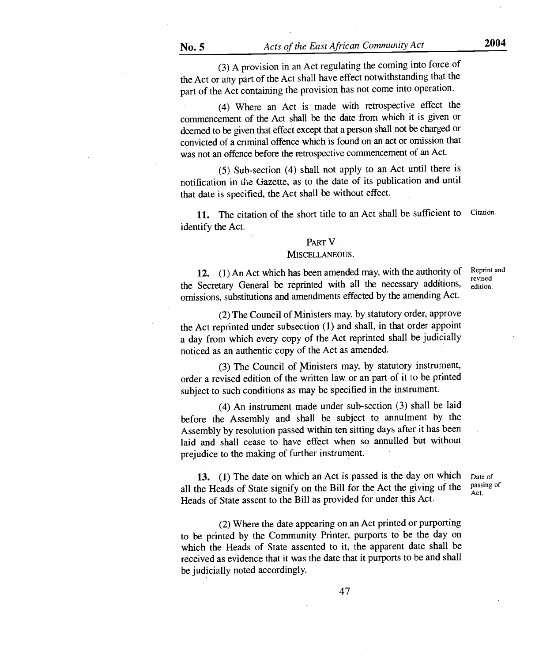(3) A provision in an Act regulating the coming into force of the Act or any part of the Act shall have effect notwithstanding that the part of the Act containing the provision has not come into operation.

(4) Where an Act is made with retrospective effect the commencement of the Act shall be the date from which it is given or deemed to be given that effect except that a person shall not be charged or convicted of a criminal offence which is found on an act or omission that was not an offence before the retrospective commencement of an Act.

(5) Sub-section (4) shall not apply to an Act until there is notification in the Gazette, as to the date of its publication and until that date is specified, the Act shall be without effect.

11. The citation of the short title to an Act shall be sufficient to Citation. identify the Act.

#### PART V

#### MISCELLANEOUS.

12. (1) An Act which has been amended may, with the authority of the Secretary General be reprinted with all the necessary additions, omissions, substitutions and amendments effected by the amending Act.

Reprint and revised edition.

Act.

(2) The Council of Ministers may, by statutory order, approve the Act reprinted under subsection (1) and shall, in that order appoint a day from which every copy of the Act reprinted shall be judicially noticed as an authentic copy of the Act as amended.

(3) The Council of Ministers may, by statutory instrument, order a revised edition of the written law or an part of it to be printed subject to such conditions as may be specified in the instrument.

(4) An instrument made under sub-section (3) shall be laid before the Assembly and shall be subject to annulment by the Assembly by resolution passed within ten sitting days after it has been laid and shall cease to have effect when so annulled but without prejudice to the making of further instrument.

13. (1) The date on which an Act is passed is the day on which all the Heads of State signify on the Bill for the Act the giving of the Heads of State assent to the Bill as provided for under this Act. Date of passing of

(2) Where the date appearing on an Act printed or purporting to be printed by the Community Printer, purports to be the day on which the Heads of State assented to it, the apparent date shall be received as evidence that it was the date that it purports to be and shall be judicially noted accordingly.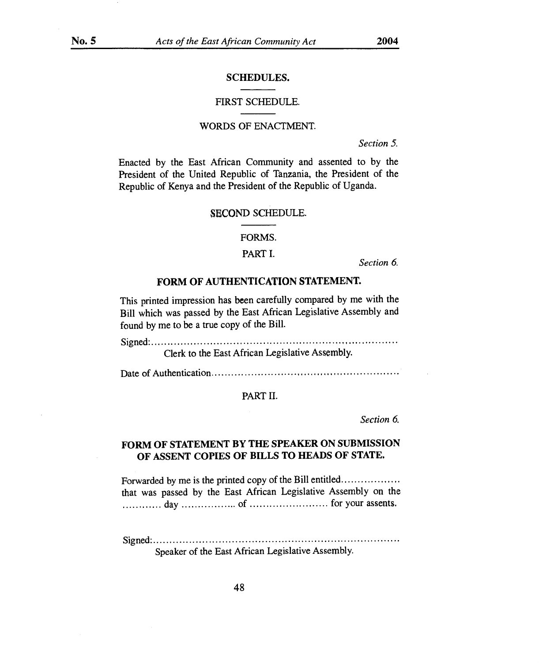## SCHEDULES.

#### FIRST SCHEDULE.

#### WORDS OF ENACTMENT.

*Section 5.* 

Enacted by the East African Community and assented to by the President of the United Republic of Tanzania, the President of the Republic of Kenya and the President of the Republic of Uganda.

#### SECOND SCHEDULE.

FORMS.

#### PART I.

*Section 6.* 

## FORM OF AUTHENTICATION STATEMENT.

This printed impression has been carefully compared by me with the Bill which was passed by the East African Legislative Assembly and found by me to be a true copy of the Bill.

Signed.

Clerk to the East African Legislative Assembly.

Date of Authentication

#### PART II.

*Section 6.* 

# FORM OF STATEMENT BY THE SPEAKER ON SUBMISSION OF ASSENT COPIES OF BILLS TO HEADS OF STATE.

Forwarded by me is the printed copy of the Bill entitled that was passed by the East African Legislative Assembly on the day of for your assents.

Signed. Speaker of the East African Legislative Assembly.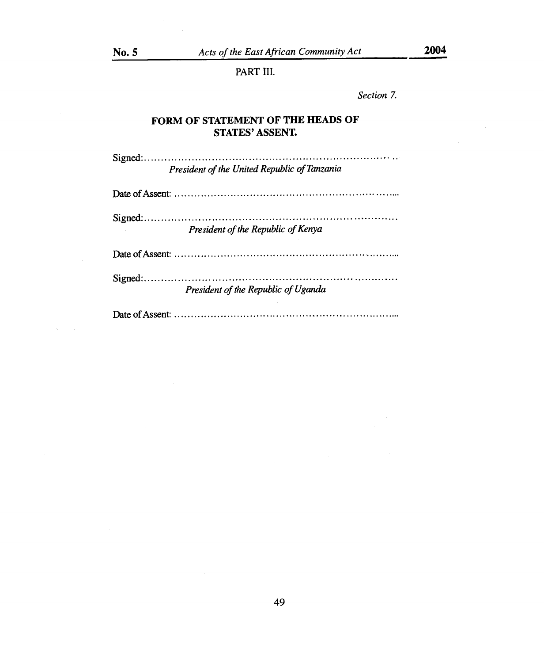PART III.

*Section 7.* 

# **FORM OF STATEMENT OF THE HEADS OF STATES' ASSENT.**

Signed-*President of the United Republic of Tanzania* 

Date of Assent:

Signed. *President of the Republic of Kenya* 

Date of Assent:

Signed-*President of the Republic of Uganda* 

Date of Assent: